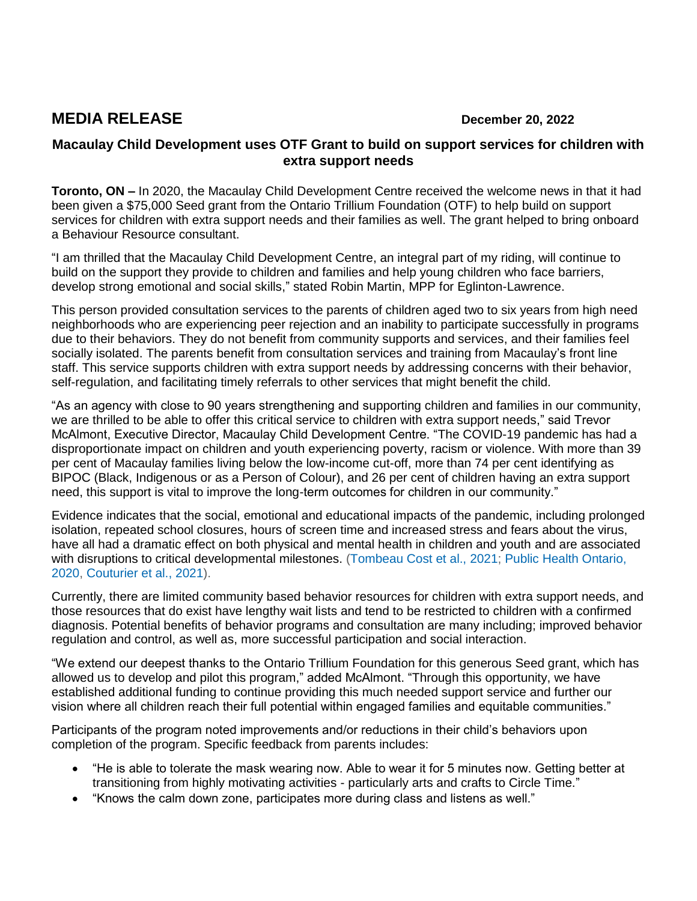## **MEDIA RELEASE December 20, 2022**

## **Macaulay Child Development uses OTF Grant to build on support services for children with extra support needs**

**Toronto, ON –** In 2020, the Macaulay Child Development Centre received the welcome news in that it had been given a \$75,000 Seed grant from the Ontario Trillium Foundation (OTF) to help build on support services for children with extra support needs and their families as well. The grant helped to bring onboard a Behaviour Resource consultant.

"I am thrilled that the Macaulay Child Development Centre, an integral part of my riding, will continue to build on the support they provide to children and families and help young children who face barriers, develop strong emotional and social skills," stated Robin Martin, MPP for Eglinton-Lawrence.

This person provided consultation services to the parents of children aged two to six years from high need neighborhoods who are experiencing peer rejection and an inability to participate successfully in programs due to their behaviors. They do not benefit from community supports and services, and their families feel socially isolated. The parents benefit from consultation services and training from Macaulay's front line staff. This service supports children with extra support needs by addressing concerns with their behavior, self-regulation, and facilitating timely referrals to other services that might benefit the child.

"As an agency with close to 90 years strengthening and supporting children and families in our community, we are thrilled to be able to offer this critical service to children with extra support needs," said Trevor McAlmont, Executive Director, Macaulay Child Development Centre. "The COVID-19 pandemic has had a disproportionate impact on children and youth experiencing poverty, racism or violence. With more than 39 per cent of Macaulay families living below the low-income cut-off, more than 74 per cent identifying as BIPOC (Black, Indigenous or as a Person of Colour), and 26 per cent of children having an extra support need, this support is vital to improve the long-term outcomes for children in our community."

Evidence indicates that the social, emotional and educational impacts of the pandemic, including prolonged isolation, repeated school closures, hours of screen time and increased stress and fears about the virus, have all had a dramatic effect on both physical and mental health in children and youth and are associated with disruptions to critical developmental milestones. (Tombeau Cost et al., 2021; Public Health Ontario, 2020, Couturier et al., 2021).

Currently, there are limited community based behavior resources for children with extra support needs, and those resources that do exist have lengthy wait lists and tend to be restricted to children with a confirmed diagnosis. Potential benefits of behavior programs and consultation are many including; improved behavior regulation and control, as well as, more successful participation and social interaction.

"We extend our deepest thanks to the Ontario Trillium Foundation for this generous Seed grant, which has allowed us to develop and pilot this program," added McAlmont. "Through this opportunity, we have established additional funding to continue providing this much needed support service and further our vision where all children reach their full potential within engaged families and equitable communities."

Participants of the program noted improvements and/or reductions in their child's behaviors upon completion of the program. Specific feedback from parents includes:

- "He is able to tolerate the mask wearing now. Able to wear it for 5 minutes now. Getting better at transitioning from highly motivating activities - particularly arts and crafts to Circle Time."
- "Knows the calm down zone, participates more during class and listens as well."